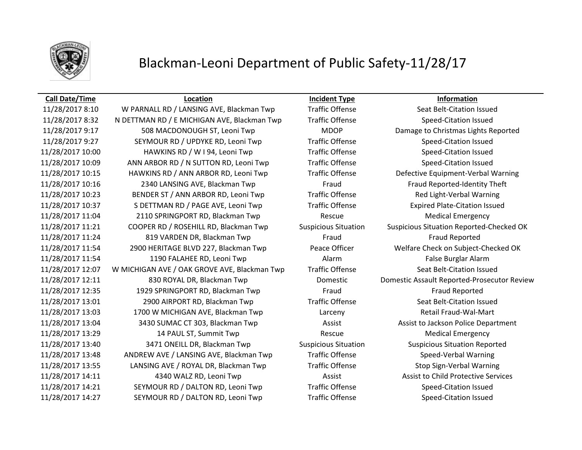

## Blackman-Leoni Department of Public Safety-11/28/17

### **Call Date/Time Location Incident Type Information**

11/28/2017 8:10 W PARNALL RD / LANSING AVE, Blackman Twp Traffic Offense Seat Belt-Citation Issued 11/28/2017 8:32 N DETTMAN RD / E MICHIGAN AVE, Blackman Twp Traffic Offense Speed-Citation Issued 11/28/2017 9:17 508 MACDONOUGH ST, Leoni Twp MDOP Damage to Christmas Lights Reported 11/28/2017 9:27 SEYMOUR RD / UPDYKE RD, Leoni Twp Traffic Offense Speed-Citation Issued 11/28/2017 10:00 HAWKINS RD / W I 94, Leoni Twp Traffic Offense Speed-Citation Issued 11/28/2017 10:09 ANN ARBOR RD / N SUTTON RD, Leoni Twp Traffic Offense Speed-Citation Issued 11/28/2017 10:15 HAWKINS RD / ANN ARBOR RD, Leoni Twp Traffic Offense Defective Equipment-Verbal Warning 11/28/2017 10:16 2340 LANSING AVE, Blackman Twp Fraud Fraud Reported-Identity Theft 11/28/2017 10:23 BENDER ST / ANN ARBOR RD, Leoni Twp Traffic Offense Red Light-Verbal Warning 11/28/2017 10:37 S DETTMAN RD / PAGE AVE, Leoni Twp Traffic Offense Expired Plate-Citation Issued 11/28/2017 11:04 2110 SPRINGPORT RD, Blackman Twp Rescue Medical Emergency 11/28/2017 11:21 COOPER RD / ROSEHILL RD, Blackman Twp Suspicious Situation Suspicious Situation Reported-Checked OK 11/28/2017 11:24 819 VARDEN DR, Blackman Twp Fraud Fraud Fraud Fraud Reported 11/28/2017 11:54 2900 HERITAGE BLVD 227, Blackman Twp Peace Officer Welfare Check on Subject-Checked OK 11/28/2017 11:54 1190 FALAHEE RD, Leoni Twp Alarm Alarm Alarm False Burglar Alarm 11/28/2017 12:07 W MICHIGAN AVE / OAK GROVE AVE, Blackman Twp Traffic Offense Seat Belt-Citation Issued 11/28/2017 12:11 830 ROYAL DR, Blackman Twp Domestic Domestic Assault Reported-Prosecutor Review 11/28/2017 12:35 1929 SPRINGPORT RD, Blackman Twp Fraud Fraud Reported 11/28/2017 13:01 2900 AIRPORT RD, Blackman Twp Traffic Offense Seat Belt-Citation Issued 11/28/2017 13:03 1700 W MICHIGAN AVE, Blackman Twp Larceny Retail Fraud-Wal-Mart 11/28/2017 13:04 3430 SUMAC CT 303, Blackman Twp Assist Assist Assist to Jackson Police Department 11/28/2017 13:29 14 PAUL ST, Summit Twp Rescue Rescue Medical Emergency 11/28/2017 13:40 3471 ONEILL DR, Blackman Twp Suspicious Situation Suspicious Situation Reported 11/28/2017 13:48 ANDREW AVE / LANSING AVE, Blackman Twp Traffic Offense Speed-Verbal Warning 11/28/2017 13:55 LANSING AVE / ROYAL DR, Blackman Twp Traffic Offense Stop Sign-Verbal Warning 11/28/2017 14:11 4340 WALZ RD, Leoni Twp Assist Assist Assist to Child Protective Services 11/28/2017 14:21 SEYMOUR RD / DALTON RD, Leoni Twp Traffic Offense Speed-Citation Issued 11/28/2017 14:27 SEYMOUR RD / DALTON RD, Leoni Twp Traffic Offense Speed-Citation Issued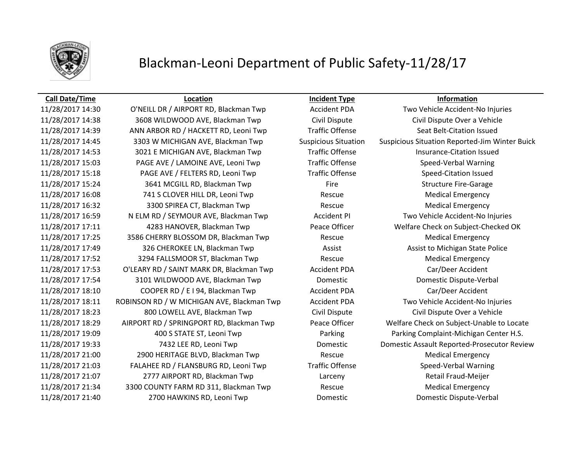

## Blackman-Leoni Department of Public Safety-11/28/17

### **Call Date/Time Location Incident Type Information**

11/28/2017 14:30 O'NEILL DR / AIRPORT RD, Blackman Twp Accident PDA Two Vehicle Accident-No Injuries 11/28/2017 14:38 3608 WILDWOOD AVE, Blackman Twp Civil Dispute Civil Dispute Over a Vehicle 11/28/2017 14:39 ANN ARBOR RD / HACKETT RD, Leoni Twp Traffic Offense Seat Belt-Citation Issued 11/28/2017 14:45 3303 W MICHIGAN AVE, Blackman Twp Suspicious Situation Suspicious Situation Reported-Jim Winter Buick 11/28/2017 14:53 3021 E MICHIGAN AVE, Blackman Twp Traffic Offense Insurance-Citation Issued 11/28/2017 15:03 PAGE AVE / LAMOINE AVE, Leoni Twp Traffic Offense Speed-Verbal Warning 11/28/2017 15:18 PAGE AVE / FELTERS RD, Leoni Twp Traffic Offense Speed-Citation Issued 11/28/2017 15:24 3641 MCGILL RD, Blackman Twp Fire Fire Structure Fire-Garage 11/28/2017 16:08 **741 S CLOVER HILL DR, Leoni Twp** Rescue Rescue Medical Emergency 11/28/2017 16:32 **3300 SPIREA CT, Blackman Twp** Rescue Rescue Medical Emergency 11/28/2017 16:59 N ELM RD / SEYMOUR AVE, Blackman Twp Accident PI Two Vehicle Accident-No Injuries 11/28/2017 17:11 4283 HANOVER, Blackman Twp Peace Officer Welfare Check on Subject-Checked OK 11/28/2017 17:25 3586 CHERRY BLOSSOM DR, Blackman Twp Rescue Medical Emergency 11/28/2017 17:49 326 CHEROKEE LN, Blackman Twp **Assist Assist Assist Conventions Assist Assist to Michigan State Police** 11/28/2017 17:52 3294 FALLSMOOR ST, Blackman Twp Rescue Medical Emergency 11/28/2017 17:53 O'LEARY RD / SAINT MARK DR, Blackman Twp Accident PDA Car/Deer Accident 11/28/2017 17:54 3101 WILDWOOD AVE, Blackman Twp Domestic Domestic Dispute-Verbal 11/28/2017 18:10 COOPER RD / E I 94, Blackman Twp Accident PDA Car/Deer Accident 11/28/2017 18:11 ROBINSON RD / W MICHIGAN AVE, Blackman Twp Accident PDA Two Vehicle Accident-No Injuries 11/28/2017 18:23 800 LOWELL AVE, Blackman Twp Civil Dispute Civil Dispute Over a Vehicle 11/28/2017 18:29 AIRPORT RD / SPRINGPORT RD, Blackman Twp Peace Officer Welfare Check on Subject-Unable to Locate 11/28/2017 19:09 400 S STATE ST, Leoni Twp Parking Parking Complaint-Michigan Center H.S. 11/28/2017 19:33 7432 LEE RD, Leoni Twp Domestic Domestic Assault Reported-Prosecutor Review 11/28/2017 21:00 2900 HERITAGE BLVD, Blackman Twp Rescue Medical Emergency 11/28/2017 21:03 FALAHEE RD / FLANSBURG RD, Leoni Twp Traffic Offense Speed-Verbal Warning 11/28/2017 21:07 2777 AIRPORT RD, Blackman Twp Larceny Retail Fraud-Meijer 11/28/2017 21:34 3300 COUNTY FARM RD 311, Blackman Twp Rescue Rescue Medical Emergency 11/28/2017 21:40 2700 HAWKINS RD, Leoni Twp Domestic Domestic Dispute-Verbal